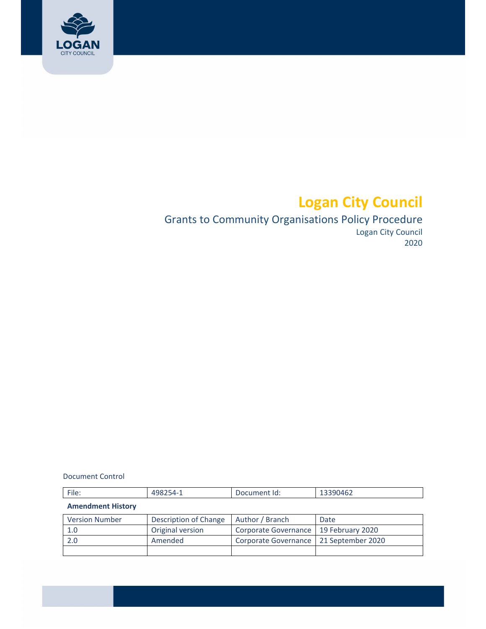

# **Logan City Council**

# Grants to Community Organisations Policy Procedure Logan City Council 2020

Document Control

| File:                    | 498254-1              | Document Id:         | 13390462          |
|--------------------------|-----------------------|----------------------|-------------------|
| <b>Amendment History</b> |                       |                      |                   |
| <b>Version Number</b>    | Description of Change | Author / Branch      | Date              |
| 1.0                      | Original version      | Corporate Governance | 19 February 2020  |
| 2.0                      | Amended               | Corporate Governance | 21 September 2020 |
|                          |                       |                      |                   |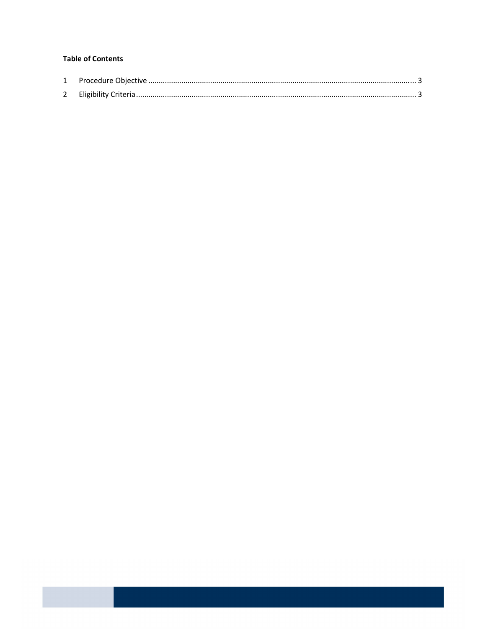#### **Table of Contents**